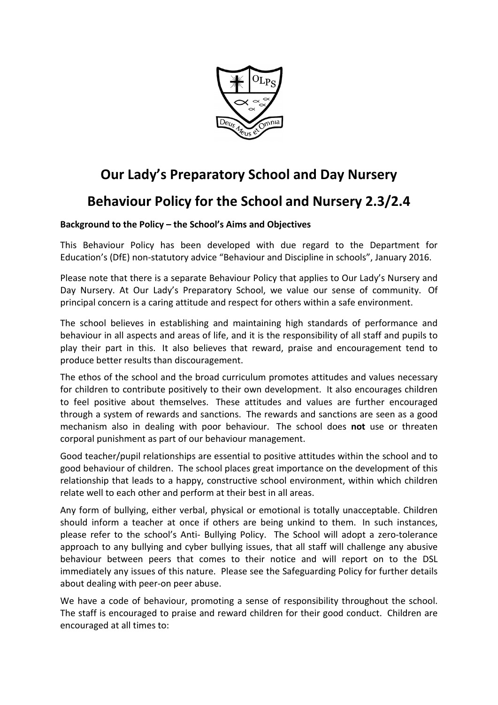

# **Our Lady's Preparatory School and Day Nursery**

## **Behaviour Policy for the School and Nursery 2.3/2.4**

## **Background to the Policy – the School's Aims and Objectives**

This Behaviour Policy has been developed with due regard to the Department for Education's (DfE) non-statutory advice "Behaviour and Discipline in schools", January 2016.

Please note that there is a separate Behaviour Policy that applies to Our Lady's Nursery and Day Nursery. At Our Lady's Preparatory School, we value our sense of community. Of principal concern is a caring attitude and respect for others within a safe environment.

The school believes in establishing and maintaining high standards of performance and behaviour in all aspects and areas of life, and it is the responsibility of all staff and pupils to play their part in this. It also believes that reward, praise and encouragement tend to produce better results than discouragement.

The ethos of the school and the broad curriculum promotes attitudes and values necessary for children to contribute positively to their own development. It also encourages children to feel positive about themselves. These attitudes and values are further encouraged through a system of rewards and sanctions. The rewards and sanctions are seen as a good mechanism also in dealing with poor behaviour. The school does **not** use or threaten corporal punishment as part of our behaviour management.

Good teacher/pupil relationships are essential to positive attitudes within the school and to good behaviour of children. The school places great importance on the development of this relationship that leads to a happy, constructive school environment, within which children relate well to each other and perform at their best in all areas.

Any form of bullying, either verbal, physical or emotional is totally unacceptable. Children should inform a teacher at once if others are being unkind to them. In such instances, please refer to the school's Anti- Bullying Policy. The School will adopt a zero-tolerance approach to any bullying and cyber bullying issues, that all staff will challenge any abusive behaviour between peers that comes to their notice and will report on to the DSL immediately any issues of this nature. Please see the Safeguarding Policy for further details about dealing with peer-on peer abuse.

We have a code of behaviour, promoting a sense of responsibility throughout the school. The staff is encouraged to praise and reward children for their good conduct. Children are encouraged at all times to: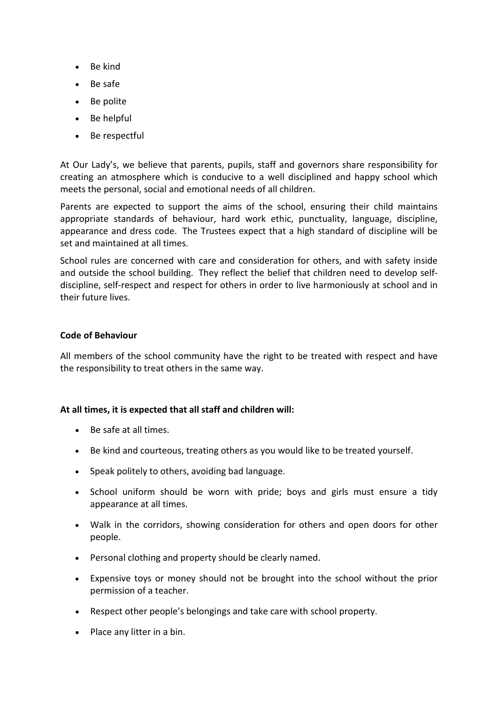- Be kind
- Be safe
- Be polite
- Be helpful
- Be respectful

At Our Lady's, we believe that parents, pupils, staff and governors share responsibility for creating an atmosphere which is conducive to a well disciplined and happy school which meets the personal, social and emotional needs of all children.

Parents are expected to support the aims of the school, ensuring their child maintains appropriate standards of behaviour, hard work ethic, punctuality, language, discipline, appearance and dress code. The Trustees expect that a high standard of discipline will be set and maintained at all times.

School rules are concerned with care and consideration for others, and with safety inside and outside the school building. They reflect the belief that children need to develop selfdiscipline, self-respect and respect for others in order to live harmoniously at school and in their future lives.

### **Code of Behaviour**

All members of the school community have the right to be treated with respect and have the responsibility to treat others in the same way.

## **At all times, it is expected that all staff and children will:**

- Be safe at all times.
- Be kind and courteous, treating others as you would like to be treated yourself.
- Speak politely to others, avoiding bad language.
- School uniform should be worn with pride; boys and girls must ensure a tidy appearance at all times.
- Walk in the corridors, showing consideration for others and open doors for other people.
- Personal clothing and property should be clearly named.
- Expensive toys or money should not be brought into the school without the prior permission of a teacher.
- Respect other people's belongings and take care with school property.
- Place any litter in a bin.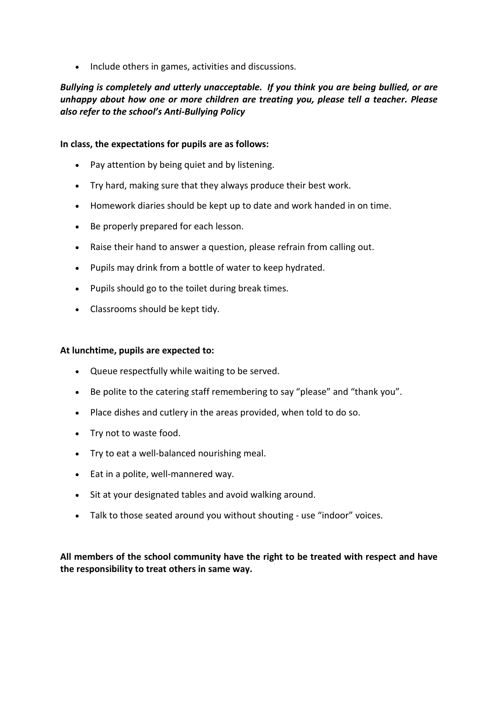• Include others in games, activities and discussions.

## *Bullying is completely and utterly unacceptable. If you think you are being bullied, or are unhappy about how one or more children are treating you, please tell a teacher. Please also refer to the school's Anti-Bullying Policy*

### **In class, the expectations for pupils are as follows:**

- Pay attention by being quiet and by listening.
- Try hard, making sure that they always produce their best work.
- Homework diaries should be kept up to date and work handed in on time.
- Be properly prepared for each lesson.
- Raise their hand to answer a question, please refrain from calling out.
- Pupils may drink from a bottle of water to keep hydrated.
- Pupils should go to the toilet during break times.
- Classrooms should be kept tidy.

#### **At lunchtime, pupils are expected to:**

- Queue respectfully while waiting to be served.
- Be polite to the catering staff remembering to say "please" and "thank you".
- Place dishes and cutlery in the areas provided, when told to do so.
- Try not to waste food.
- Try to eat a well-balanced nourishing meal.
- Eat in a polite, well-mannered way.
- Sit at your designated tables and avoid walking around.
- Talk to those seated around you without shouting use "indoor" voices.

**All members of the school community have the right to be treated with respect and have the responsibility to treat others in same way.**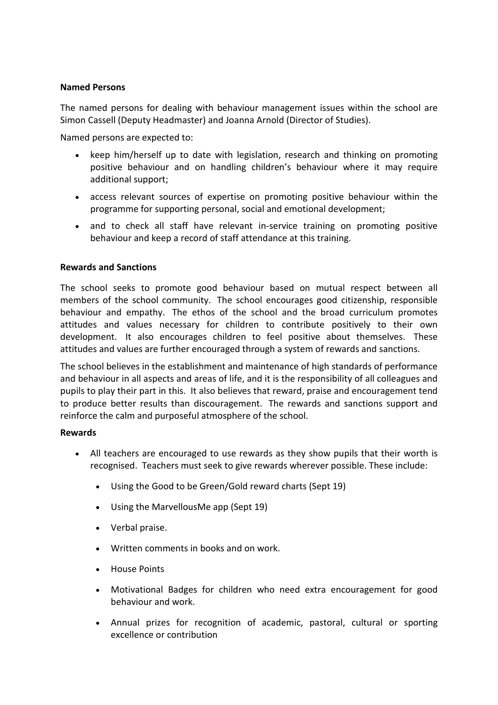### **Named Persons**

The named persons for dealing with behaviour management issues within the school are Simon Cassell (Deputy Headmaster) and Joanna Arnold (Director of Studies).

Named persons are expected to:

- keep him/herself up to date with legislation, research and thinking on promoting positive behaviour and on handling children's behaviour where it may require additional support;
- access relevant sources of expertise on promoting positive behaviour within the programme for supporting personal, social and emotional development;
- and to check all staff have relevant in-service training on promoting positive behaviour and keep a record of staff attendance at this training.

### **Rewards and Sanctions**

The school seeks to promote good behaviour based on mutual respect between all members of the school community. The school encourages good citizenship, responsible behaviour and empathy. The ethos of the school and the broad curriculum promotes attitudes and values necessary for children to contribute positively to their own development. It also encourages children to feel positive about themselves. These attitudes and values are further encouraged through a system of rewards and sanctions.

The school believes in the establishment and maintenance of high standards of performance and behaviour in all aspects and areas of life, and it is the responsibility of all colleagues and pupils to play their part in this. It also believes that reward, praise and encouragement tend to produce better results than discouragement. The rewards and sanctions support and reinforce the calm and purposeful atmosphere of the school.

### **Rewards**

- All teachers are encouraged to use rewards as they show pupils that their worth is recognised. Teachers must seek to give rewards wherever possible. These include:
	- Using the Good to be Green/Gold reward charts (Sept 19)
	- Using the MarvellousMe app (Sept 19)
	- Verbal praise.
	- Written comments in books and on work.
	- House Points
	- Motivational Badges for children who need extra encouragement for good behaviour and work.
	- Annual prizes for recognition of academic, pastoral, cultural or sporting excellence or contribution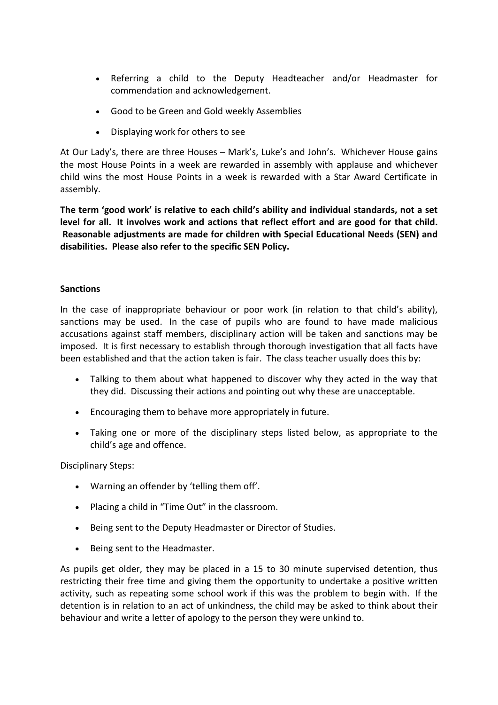- Referring a child to the Deputy Headteacher and/or Headmaster for commendation and acknowledgement.
- Good to be Green and Gold weekly Assemblies
- Displaying work for others to see

At Our Lady's, there are three Houses – Mark's, Luke's and John's. Whichever House gains the most House Points in a week are rewarded in assembly with applause and whichever child wins the most House Points in a week is rewarded with a Star Award Certificate in assembly.

**The term 'good work' is relative to each child's ability and individual standards, not a set level for all. It involves work and actions that reflect effort and are good for that child. Reasonable adjustments are made for children with Special Educational Needs (SEN) and disabilities. Please also refer to the specific SEN Policy.**

### **Sanctions**

In the case of inappropriate behaviour or poor work (in relation to that child's ability), sanctions may be used. In the case of pupils who are found to have made malicious accusations against staff members, disciplinary action will be taken and sanctions may be imposed. It is first necessary to establish through thorough investigation that all facts have been established and that the action taken is fair. The class teacher usually does this by:

- Talking to them about what happened to discover why they acted in the way that they did. Discussing their actions and pointing out why these are unacceptable.
- Encouraging them to behave more appropriately in future.
- Taking one or more of the disciplinary steps listed below, as appropriate to the child's age and offence.

Disciplinary Steps:

- Warning an offender by 'telling them off'.
- Placing a child in "Time Out" in the classroom.
- Being sent to the Deputy Headmaster or Director of Studies.
- Being sent to the Headmaster.

As pupils get older, they may be placed in a 15 to 30 minute supervised detention, thus restricting their free time and giving them the opportunity to undertake a positive written activity, such as repeating some school work if this was the problem to begin with. If the detention is in relation to an act of unkindness, the child may be asked to think about their behaviour and write a letter of apology to the person they were unkind to.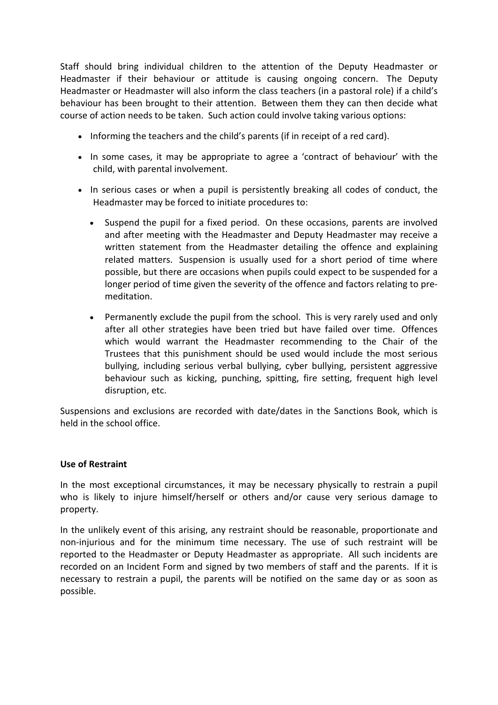Staff should bring individual children to the attention of the Deputy Headmaster or Headmaster if their behaviour or attitude is causing ongoing concern. The Deputy Headmaster or Headmaster will also inform the class teachers (in a pastoral role) if a child's behaviour has been brought to their attention. Between them they can then decide what course of action needs to be taken. Such action could involve taking various options:

- Informing the teachers and the child's parents (if in receipt of a red card).
- In some cases, it may be appropriate to agree a 'contract of behaviour' with the child, with parental involvement.
- In serious cases or when a pupil is persistently breaking all codes of conduct, the Headmaster may be forced to initiate procedures to:
	- Suspend the pupil for a fixed period. On these occasions, parents are involved and after meeting with the Headmaster and Deputy Headmaster may receive a written statement from the Headmaster detailing the offence and explaining related matters. Suspension is usually used for a short period of time where possible, but there are occasions when pupils could expect to be suspended for a longer period of time given the severity of the offence and factors relating to premeditation.
	- Permanently exclude the pupil from the school. This is very rarely used and only after all other strategies have been tried but have failed over time. Offences which would warrant the Headmaster recommending to the Chair of the Trustees that this punishment should be used would include the most serious bullying, including serious verbal bullying, cyber bullying, persistent aggressive behaviour such as kicking, punching, spitting, fire setting, frequent high level disruption, etc.

Suspensions and exclusions are recorded with date/dates in the Sanctions Book, which is held in the school office.

### **Use of Restraint**

In the most exceptional circumstances, it may be necessary physically to restrain a pupil who is likely to injure himself/herself or others and/or cause very serious damage to property.

In the unlikely event of this arising, any restraint should be reasonable, proportionate and non-injurious and for the minimum time necessary. The use of such restraint will be reported to the Headmaster or Deputy Headmaster as appropriate. All such incidents are recorded on an Incident Form and signed by two members of staff and the parents. If it is necessary to restrain a pupil, the parents will be notified on the same day or as soon as possible.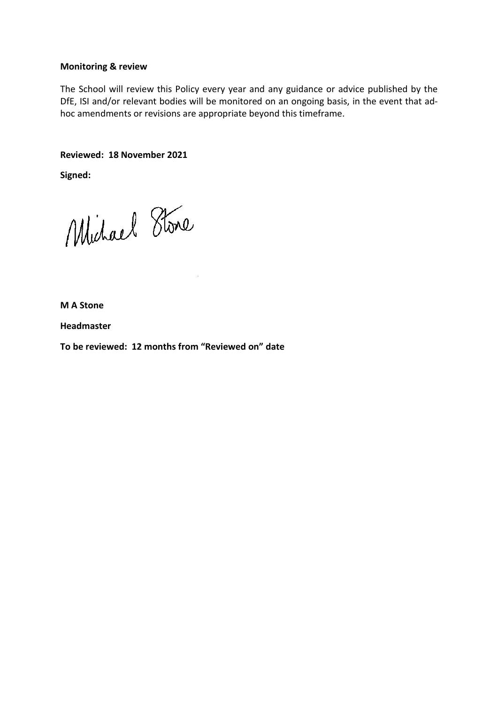### **Monitoring & review**

The School will review this Policy every year and any guidance or advice published by the DfE, ISI and/or relevant bodies will be monitored on an ongoing basis, in the event that adhoc amendments or revisions are appropriate beyond this timeframe.

**Reviewed: 18 November 2021**

**Signed:**

Michael Stone

**M A Stone**

**Headmaster**

**To be reviewed: 12 months from "Reviewed on" date**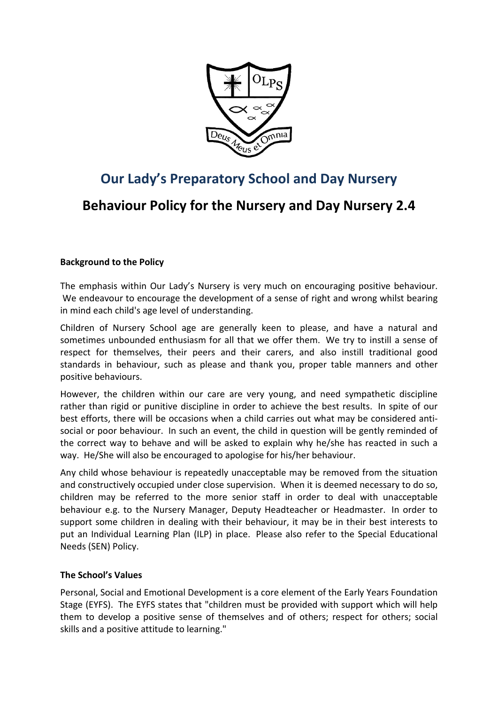

# **Our Lady's Preparatory School and Day Nursery**

## **Behaviour Policy for the Nursery and Day Nursery 2.4**

## **Background to the Policy**

The emphasis within Our Lady's Nursery is very much on encouraging positive behaviour. We endeavour to encourage the development of a sense of right and wrong whilst bearing in mind each child's age level of understanding.

Children of Nursery School age are generally keen to please, and have a natural and sometimes unbounded enthusiasm for all that we offer them. We try to instill a sense of respect for themselves, their peers and their carers, and also instill traditional good standards in behaviour, such as please and thank you, proper table manners and other positive behaviours.

However, the children within our care are very young, and need sympathetic discipline rather than rigid or punitive discipline in order to achieve the best results. In spite of our best efforts, there will be occasions when a child carries out what may be considered antisocial or poor behaviour. In such an event, the child in question will be gently reminded of the correct way to behave and will be asked to explain why he/she has reacted in such a way. He/She will also be encouraged to apologise for his/her behaviour.

Any child whose behaviour is repeatedly unacceptable may be removed from the situation and constructively occupied under close supervision. When it is deemed necessary to do so, children may be referred to the more senior staff in order to deal with unacceptable behaviour e.g. to the Nursery Manager, Deputy Headteacher or Headmaster. In order to support some children in dealing with their behaviour, it may be in their best interests to put an Individual Learning Plan (ILP) in place. Please also refer to the Special Educational Needs (SEN) Policy.

## **The School's Values**

Personal, Social and Emotional Development is a core element of the Early Years Foundation Stage (EYFS). The EYFS states that "children must be provided with support which will help them to develop a positive sense of themselves and of others; respect for others; social skills and a positive attitude to learning."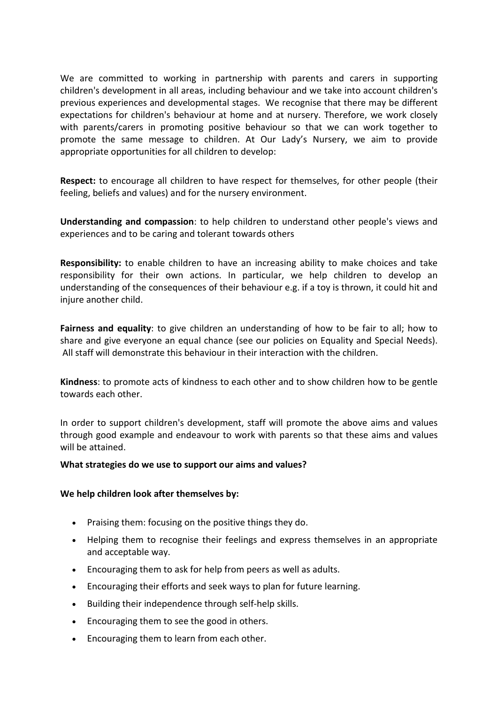We are committed to working in partnership with parents and carers in supporting children's development in all areas, including behaviour and we take into account children's previous experiences and developmental stages. We recognise that there may be different expectations for children's behaviour at home and at nursery. Therefore, we work closely with parents/carers in promoting positive behaviour so that we can work together to promote the same message to children. At Our Lady's Nursery, we aim to provide appropriate opportunities for all children to develop:

**Respect:** to encourage all children to have respect for themselves, for other people (their feeling, beliefs and values) and for the nursery environment.

**Understanding and compassion**: to help children to understand other people's views and experiences and to be caring and tolerant towards others

**Responsibility:** to enable children to have an increasing ability to make choices and take responsibility for their own actions. In particular, we help children to develop an understanding of the consequences of their behaviour e.g. if a toy is thrown, it could hit and injure another child.

**Fairness and equality**: to give children an understanding of how to be fair to all; how to share and give everyone an equal chance (see our policies on Equality and Special Needs). All staff will demonstrate this behaviour in their interaction with the children.

**Kindness**: to promote acts of kindness to each other and to show children how to be gentle towards each other.

In order to support children's development, staff will promote the above aims and values through good example and endeavour to work with parents so that these aims and values will be attained.

#### **What strategies do we use to support our aims and values?**

#### **We help children look after themselves by:**

- Praising them: focusing on the positive things they do.
- Helping them to recognise their feelings and express themselves in an appropriate and acceptable way.
- Encouraging them to ask for help from peers as well as adults.
- Encouraging their efforts and seek ways to plan for future learning.
- Building their independence through self-help skills.
- Encouraging them to see the good in others.
- Encouraging them to learn from each other.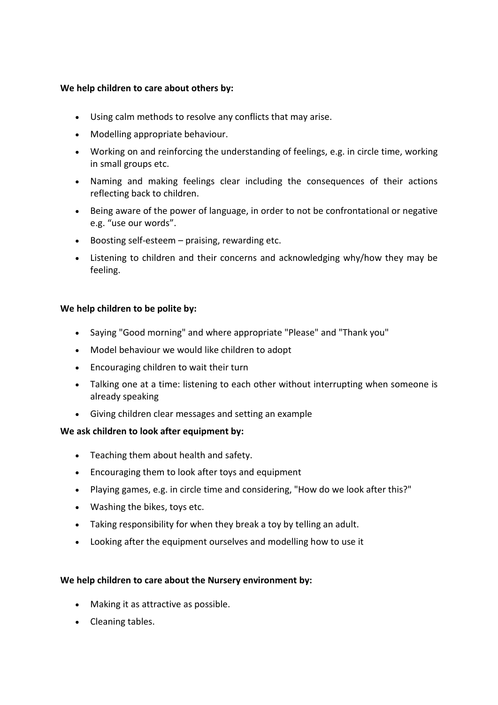### **We help children to care about others by:**

- Using calm methods to resolve any conflicts that may arise.
- Modelling appropriate behaviour.
- Working on and reinforcing the understanding of feelings, e.g. in circle time, working in small groups etc.
- Naming and making feelings clear including the consequences of their actions reflecting back to children.
- Being aware of the power of language, in order to not be confrontational or negative e.g. "use our words".
- Boosting self-esteem praising, rewarding etc.
- Listening to children and their concerns and acknowledging why/how they may be feeling.

### **We help children to be polite by:**

- Saying "Good morning" and where appropriate "Please" and "Thank you"
- Model behaviour we would like children to adopt
- Encouraging children to wait their turn
- Talking one at a time: listening to each other without interrupting when someone is already speaking
- Giving children clear messages and setting an example

### **We ask children to look after equipment by:**

- Teaching them about health and safety.
- Encouraging them to look after toys and equipment
- Playing games, e.g. in circle time and considering, "How do we look after this?"
- Washing the bikes, toys etc.
- Taking responsibility for when they break a toy by telling an adult.
- Looking after the equipment ourselves and modelling how to use it

### **We help children to care about the Nursery environment by:**

- Making it as attractive as possible.
- Cleaning tables.